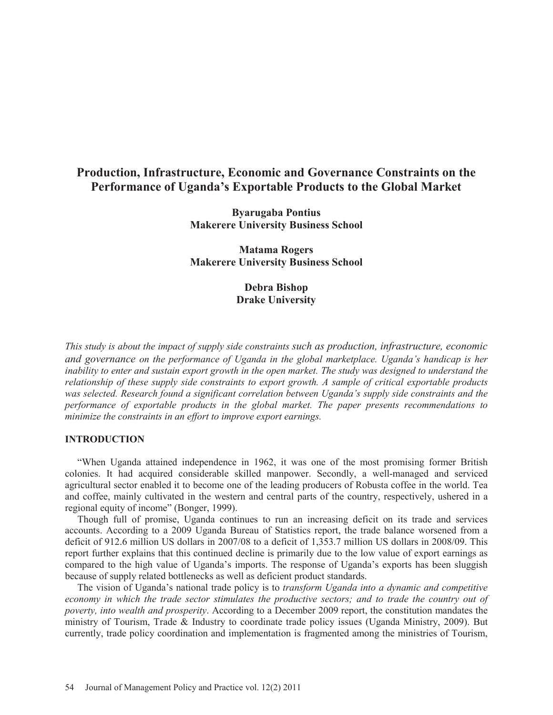# **Production, Infrastructure, Economic and Governance Constraints on the Performance of Uganda's Exportable Products to the Global Market**

**Byarugaba Pontius Makerere University Business School** 

**Matama Rogers Makerere University Business School** 

> **Debra Bishop Drake University**

*This study is about the impact of supply side constraints such as production, infrastructure, economic and governance on the performance of Uganda in the global marketplace. Uganda's handicap is her inability to enter and sustain export growth in the open market. The study was designed to understand the relationship of these supply side constraints to export growth. A sample of critical exportable products was selected. Research found a significant correlation between Uganda's supply side constraints and the performance of exportable products in the global market. The paper presents recommendations to minimize the constraints in an effort to improve export earnings.* 

# **INTRODUCTION**

 "When Uganda attained independence in 1962, it was one of the most promising former British colonies. It had acquired considerable skilled manpower. Secondly, a well-managed and serviced agricultural sector enabled it to become one of the leading producers of Robusta coffee in the world. Tea and coffee, mainly cultivated in the western and central parts of the country, respectively, ushered in a regional equity of income" (Bonger, 1999).

 Though full of promise, Uganda continues to run an increasing deficit on its trade and services accounts. According to a 2009 Uganda Bureau of Statistics report, the trade balance worsened from a deficit of 912.6 million US dollars in 2007/08 to a deficit of 1,353.7 million US dollars in 2008/09. This report further explains that this continued decline is primarily due to the low value of export earnings as compared to the high value of Uganda's imports. The response of Uganda's exports has been sluggish because of supply related bottlenecks as well as deficient product standards.

 The vision of Uganda's national trade policy is to *transform Uganda into a dynamic and competitive economy in which the trade sector stimulates the productive sectors; and to trade the country out of poverty, into wealth and prosperity*. According to a December 2009 report, the constitution mandates the ministry of Tourism, Trade & Industry to coordinate trade policy issues (Uganda Ministry, 2009). But currently, trade policy coordination and implementation is fragmented among the ministries of Tourism,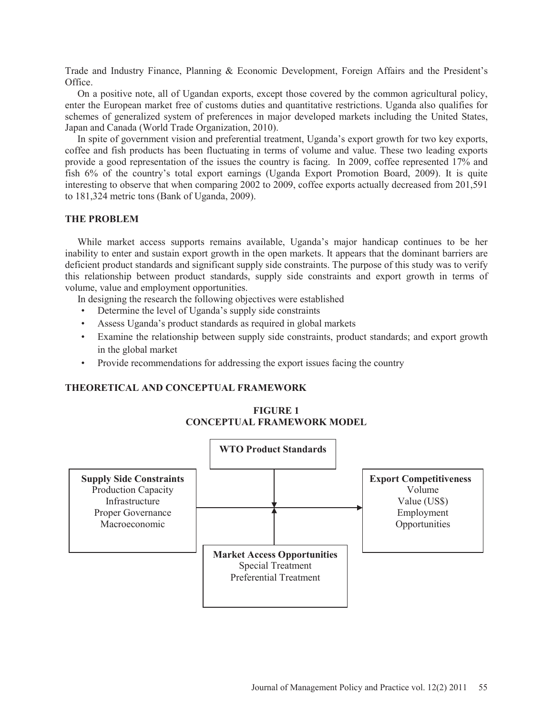Trade and Industry Finance, Planning & Economic Development, Foreign Affairs and the President's Office.

 On a positive note, all of Ugandan exports, except those covered by the common agricultural policy, enter the European market free of customs duties and quantitative restrictions. Uganda also qualifies for schemes of generalized system of preferences in major developed markets including the United States, Japan and Canada (World Trade Organization, 2010).

 In spite of government vision and preferential treatment, Uganda's export growth for two key exports, coffee and fish products has been fluctuating in terms of volume and value. These two leading exports provide a good representation of the issues the country is facing. In 2009, coffee represented 17% and fish 6% of the country's total export earnings (Uganda Export Promotion Board, 2009). It is quite interesting to observe that when comparing 2002 to 2009, coffee exports actually decreased from 201,591 to 181,324 metric tons (Bank of Uganda, 2009).

# **THE PROBLEM**

 While market access supports remains available, Uganda's major handicap continues to be her inability to enter and sustain export growth in the open markets. It appears that the dominant barriers are deficient product standards and significant supply side constraints. The purpose of this study was to verify this relationship between product standards, supply side constraints and export growth in terms of volume, value and employment opportunities.

In designing the research the following objectives were established

- Determine the level of Uganda's supply side constraints
- Assess Uganda's product standards as required in global markets
- Examine the relationship between supply side constraints, product standards; and export growth in the global market
- Provide recommendations for addressing the export issues facing the country

# **THEORETICAL AND CONCEPTUAL FRAMEWORK**

**FIGURE 1 CONCEPTUAL FRAMEWORK MODEL** 

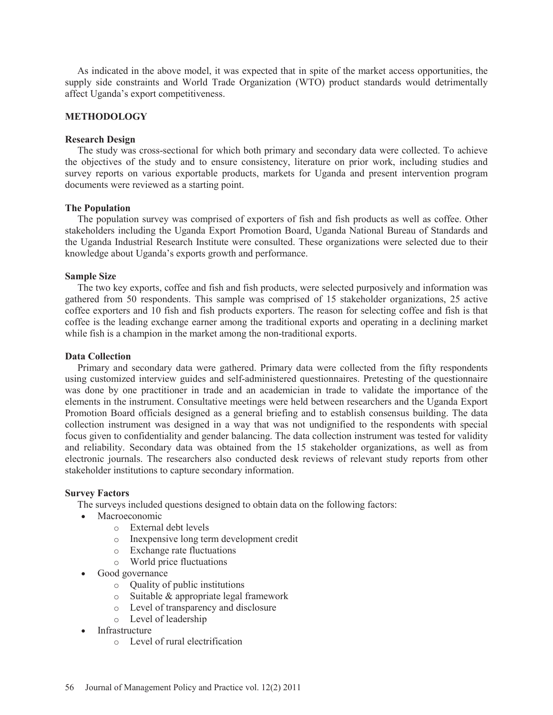As indicated in the above model, it was expected that in spite of the market access opportunities, the supply side constraints and World Trade Organization (WTO) product standards would detrimentally affect Uganda's export competitiveness.

# **METHODOLOGY**

## **Research Design**

 The study was cross-sectional for which both primary and secondary data were collected. To achieve the objectives of the study and to ensure consistency, literature on prior work, including studies and survey reports on various exportable products, markets for Uganda and present intervention program documents were reviewed as a starting point.

# **The Population**

 The population survey was comprised of exporters of fish and fish products as well as coffee. Other stakeholders including the Uganda Export Promotion Board, Uganda National Bureau of Standards and the Uganda Industrial Research Institute were consulted. These organizations were selected due to their knowledge about Uganda's exports growth and performance.

# **Sample Size**

 The two key exports, coffee and fish and fish products, were selected purposively and information was gathered from 50 respondents. This sample was comprised of 15 stakeholder organizations, 25 active coffee exporters and 10 fish and fish products exporters. The reason for selecting coffee and fish is that coffee is the leading exchange earner among the traditional exports and operating in a declining market while fish is a champion in the market among the non-traditional exports.

## **Data Collection**

 Primary and secondary data were gathered. Primary data were collected from the fifty respondents using customized interview guides and self-administered questionnaires. Pretesting of the questionnaire was done by one practitioner in trade and an academician in trade to validate the importance of the elements in the instrument. Consultative meetings were held between researchers and the Uganda Export Promotion Board officials designed as a general briefing and to establish consensus building. The data collection instrument was designed in a way that was not undignified to the respondents with special focus given to confidentiality and gender balancing. The data collection instrument was tested for validity and reliability. Secondary data was obtained from the 15 stakeholder organizations, as well as from electronic journals. The researchers also conducted desk reviews of relevant study reports from other stakeholder institutions to capture secondary information.

## **Survey Factors**

The surveys included questions designed to obtain data on the following factors:

- Macroeconomic
	- o External debt levels
	- o Inexpensive long term development credit
	- o Exchange rate fluctuations
	- o World price fluctuations
- Good governance
	- o Quality of public institutions
	- o Suitable & appropriate legal framework
	- o Level of transparency and disclosure
	- o Level of leadership
- **Infrastructure** 
	- o Level of rural electrification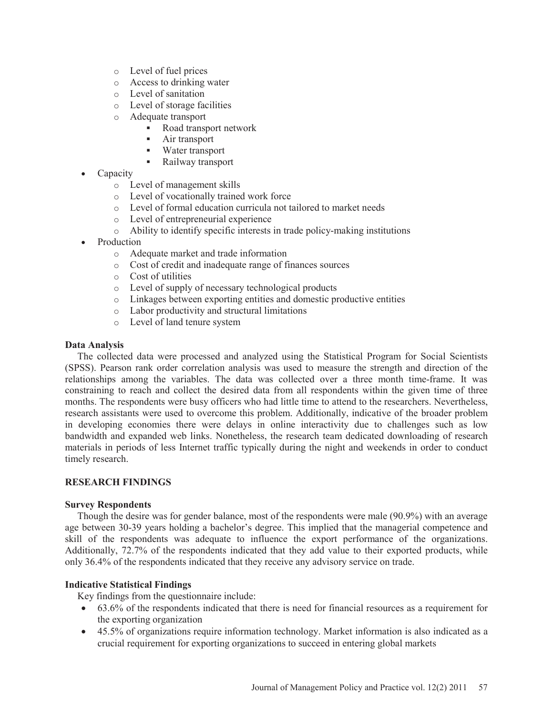- o Level of fuel prices
- o Access to drinking water
- o Level of sanitation
- o Level of storage facilities
- o Adequate transport
	- Road transport network
	- **Air transport**
	- Water transport
	- Railway transport
- Capacity
	- o Level of management skills
	- o Level of vocationally trained work force
	- o Level of formal education curricula not tailored to market needs
	- o Level of entrepreneurial experience
	- o Ability to identify specific interests in trade policy-making institutions
- **Production** 
	- o Adequate market and trade information
	- o Cost of credit and inadequate range of finances sources
	- o Cost of utilities
	- o Level of supply of necessary technological products
	- o Linkages between exporting entities and domestic productive entities
	- o Labor productivity and structural limitations
	- o Level of land tenure system

## **Data Analysis**

 The collected data were processed and analyzed using the Statistical Program for Social Scientists (SPSS). Pearson rank order correlation analysis was used to measure the strength and direction of the relationships among the variables. The data was collected over a three month time-frame. It was constraining to reach and collect the desired data from all respondents within the given time of three months. The respondents were busy officers who had little time to attend to the researchers. Nevertheless, research assistants were used to overcome this problem. Additionally, indicative of the broader problem in developing economies there were delays in online interactivity due to challenges such as low bandwidth and expanded web links. Nonetheless, the research team dedicated downloading of research materials in periods of less Internet traffic typically during the night and weekends in order to conduct timely research.

## **RESEARCH FINDINGS**

## **Survey Respondents**

 Though the desire was for gender balance, most of the respondents were male (90.9%) with an average age between 30-39 years holding a bachelor's degree. This implied that the managerial competence and skill of the respondents was adequate to influence the export performance of the organizations. Additionally, 72.7% of the respondents indicated that they add value to their exported products, while only 36.4% of the respondents indicated that they receive any advisory service on trade.

# **Indicative Statistical Findings**

Key findings from the questionnaire include:

- $\bullet$  63.6% of the respondents indicated that there is need for financial resources as a requirement for the exporting organization
- 45.5% of organizations require information technology. Market information is also indicated as a crucial requirement for exporting organizations to succeed in entering global markets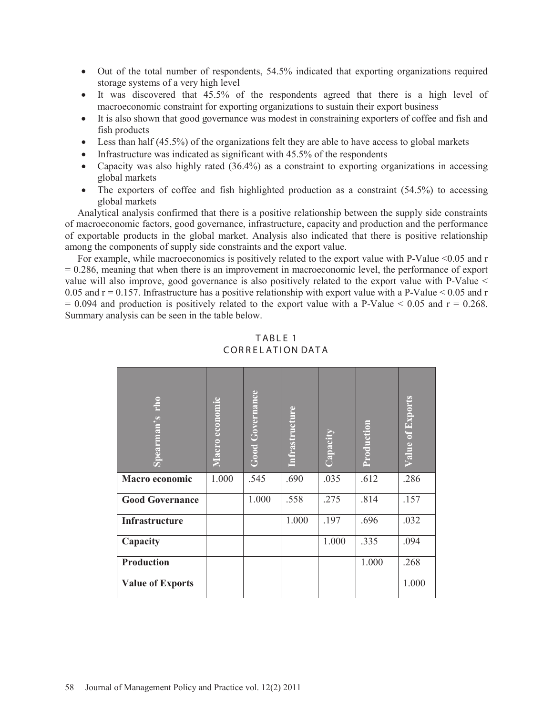- Out of the total number of respondents, 54.5% indicated that exporting organizations required storage systems of a very high level
- $\bullet$  It was discovered that 45.5% of the respondents agreed that there is a high level of macroeconomic constraint for exporting organizations to sustain their export business
- It is also shown that good governance was modest in constraining exporters of coffee and fish and fish products
- Eess than half  $(45.5%)$  of the organizations felt they are able to have access to global markets
- Infrastructure was indicated as significant with  $45.5\%$  of the respondents
- Capacity was also highly rated  $(36.4\%)$  as a constraint to exporting organizations in accessing global markets
- $\bullet$  The exporters of coffee and fish highlighted production as a constraint (54.5%) to accessing global markets

 Analytical analysis confirmed that there is a positive relationship between the supply side constraints of macroeconomic factors, good governance, infrastructure, capacity and production and the performance of exportable products in the global market. Analysis also indicated that there is positive relationship among the components of supply side constraints and the export value.

For example, while macroeconomics is positively related to the export value with P-Value <0.05 and r = 0.286, meaning that when there is an improvement in macroeconomic level, the performance of export value will also improve, good governance is also positively related to the export value with P-Value < 0.05 and  $r = 0.157$ . Infrastructure has a positive relationship with export value with a P-Value < 0.05 and r  $= 0.094$  and production is positively related to the export value with a P-Value  $\le 0.05$  and  $r = 0.268$ . Summary analysis can be seen in the table below.

| Ĕ<br>Spearman's         | Macro economic | <b>Good Governance</b> | <b>Infrastructure</b> | Capacity | Production | <b>Value of Exports</b> |
|-------------------------|----------------|------------------------|-----------------------|----------|------------|-------------------------|
| Macro economic          | 1.000          | .545                   | .690                  | .035     | .612       | .286                    |
| <b>Good Governance</b>  |                | 1.000                  | .558                  | .275     | .814       | .157                    |
| Infrastructure          |                |                        | 1.000                 | .197     | .696       | .032                    |
| Capacity                |                |                        |                       | 1.000    | .335       | .094                    |
| <b>Production</b>       |                |                        |                       |          | 1.000      | .268                    |
| <b>Value of Exports</b> |                |                        |                       |          |            | 1.000                   |

TABLE 1 CORRELATION DATA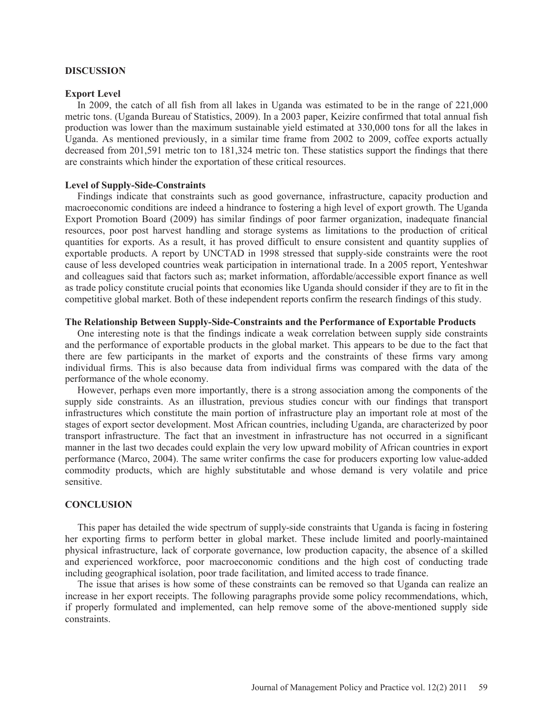#### **DISCUSSION**

#### **Export Level**

 In 2009, the catch of all fish from all lakes in Uganda was estimated to be in the range of 221,000 metric tons. (Uganda Bureau of Statistics, 2009). In a 2003 paper, Keizire confirmed that total annual fish production was lower than the maximum sustainable yield estimated at 330,000 tons for all the lakes in Uganda. As mentioned previously, in a similar time frame from 2002 to 2009, coffee exports actually decreased from 201,591 metric ton to 181,324 metric ton. These statistics support the findings that there are constraints which hinder the exportation of these critical resources.

#### **Level of Supply-Side-Constraints**

 Findings indicate that constraints such as good governance, infrastructure, capacity production and macroeconomic conditions are indeed a hindrance to fostering a high level of export growth. The Uganda Export Promotion Board (2009) has similar findings of poor farmer organization, inadequate financial resources, poor post harvest handling and storage systems as limitations to the production of critical quantities for exports. As a result, it has proved difficult to ensure consistent and quantity supplies of exportable products. A report by UNCTAD in 1998 stressed that supply-side constraints were the root cause of less developed countries weak participation in international trade. In a 2005 report, Yenteshwar and colleagues said that factors such as; market information, affordable/accessible export finance as well as trade policy constitute crucial points that economies like Uganda should consider if they are to fit in the competitive global market. Both of these independent reports confirm the research findings of this study.

# **The Relationship Between Supply-Side-Constraints and the Performance of Exportable Products**

 One interesting note is that the findings indicate a weak correlation between supply side constraints and the performance of exportable products in the global market. This appears to be due to the fact that there are few participants in the market of exports and the constraints of these firms vary among individual firms. This is also because data from individual firms was compared with the data of the performance of the whole economy.

 However, perhaps even more importantly, there is a strong association among the components of the supply side constraints. As an illustration, previous studies concur with our findings that transport infrastructures which constitute the main portion of infrastructure play an important role at most of the stages of export sector development. Most African countries, including Uganda, are characterized by poor transport infrastructure. The fact that an investment in infrastructure has not occurred in a significant manner in the last two decades could explain the very low upward mobility of African countries in export performance (Marco, 2004). The same writer confirms the case for producers exporting low value-added commodity products, which are highly substitutable and whose demand is very volatile and price sensitive.

## **CONCLUSION**

 This paper has detailed the wide spectrum of supply-side constraints that Uganda is facing in fostering her exporting firms to perform better in global market. These include limited and poorly-maintained physical infrastructure, lack of corporate governance, low production capacity, the absence of a skilled and experienced workforce, poor macroeconomic conditions and the high cost of conducting trade including geographical isolation, poor trade facilitation, and limited access to trade finance.

 The issue that arises is how some of these constraints can be removed so that Uganda can realize an increase in her export receipts. The following paragraphs provide some policy recommendations, which, if properly formulated and implemented, can help remove some of the above-mentioned supply side constraints.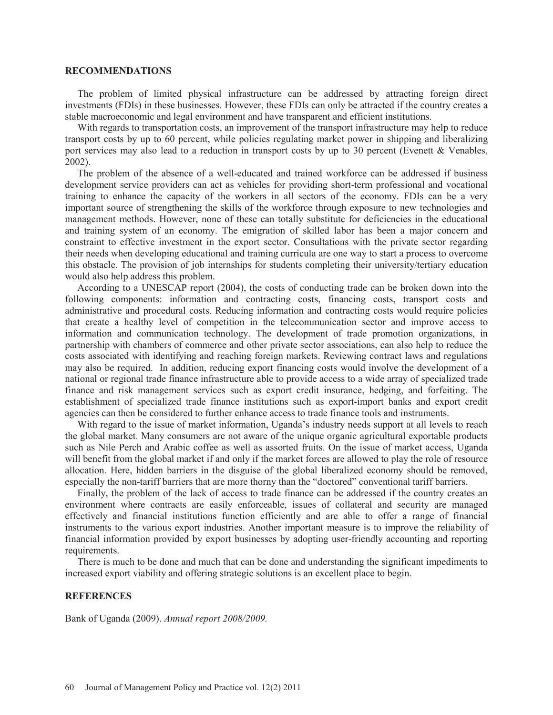#### **RECOMMENDATIONS**

 The problem of limited physical infrastructure can be addressed by attracting foreign direct investments (FDIs) in these businesses. However, these FDIs can only be attracted if the country creates a stable macroeconomic and legal environment and have transparent and efficient institutions.

 With regards to transportation costs, an improvement of the transport infrastructure may help to reduce transport costs by up to 60 percent, while policies regulating market power in shipping and liberalizing port services may also lead to a reduction in transport costs by up to 30 percent (Evenett & Venables, 2002).

 The problem of the absence of a well-educated and trained workforce can be addressed if business development service providers can act as vehicles for providing short-term professional and vocational training to enhance the capacity of the workers in all sectors of the economy. FDIs can be a very important source of strengthening the skills of the workforce through exposure to new technologies and management methods. However, none of these can totally substitute for deficiencies in the educational and training system of an economy. The emigration of skilled labor has been a major concern and constraint to effective investment in the export sector. Consultations with the private sector regarding their needs when developing educational and training curricula are one way to start a process to overcome this obstacle. The provision of job internships for students completing their university/tertiary education would also help address this problem.

 According to a UNESCAP report (2004), the costs of conducting trade can be broken down into the following components: information and contracting costs, financing costs, transport costs and administrative and procedural costs. Reducing information and contracting costs would require policies that create a healthy level of competition in the telecommunication sector and improve access to information and communication technology. The development of trade promotion organizations, in partnership with chambers of commerce and other private sector associations, can also help to reduce the costs associated with identifying and reaching foreign markets. Reviewing contract laws and regulations may also be required. In addition, reducing export financing costs would involve the development of a national or regional trade finance infrastructure able to provide access to a wide array of specialized trade finance and risk management services such as export credit insurance, hedging, and forfeiting. The establishment of specialized trade finance institutions such as export-import banks and export credit agencies can then be considered to further enhance access to trade finance tools and instruments.

 With regard to the issue of market information, Uganda's industry needs support at all levels to reach the global market. Many consumers are not aware of the unique organic agricultural exportable products such as Nile Perch and Arabic coffee as well as assorted fruits. On the issue of market access, Uganda will benefit from the global market if and only if the market forces are allowed to play the role of resource allocation. Here, hidden barriers in the disguise of the global liberalized economy should be removed, especially the non-tariff barriers that are more thorny than the "doctored" conventional tariff barriers.

 Finally, the problem of the lack of access to trade finance can be addressed if the country creates an environment where contracts are easily enforceable, issues of collateral and security are managed effectively and financial institutions function efficiently and are able to offer a range of financial instruments to the various export industries. Another important measure is to improve the reliability of financial information provided by export businesses by adopting user-friendly accounting and reporting requirements.

 There is much to be done and much that can be done and understanding the significant impediments to increased export viability and offering strategic solutions is an excellent place to begin.

## **REFERENCES**

Bank of Uganda (2009). *Annual report 2008/2009.*